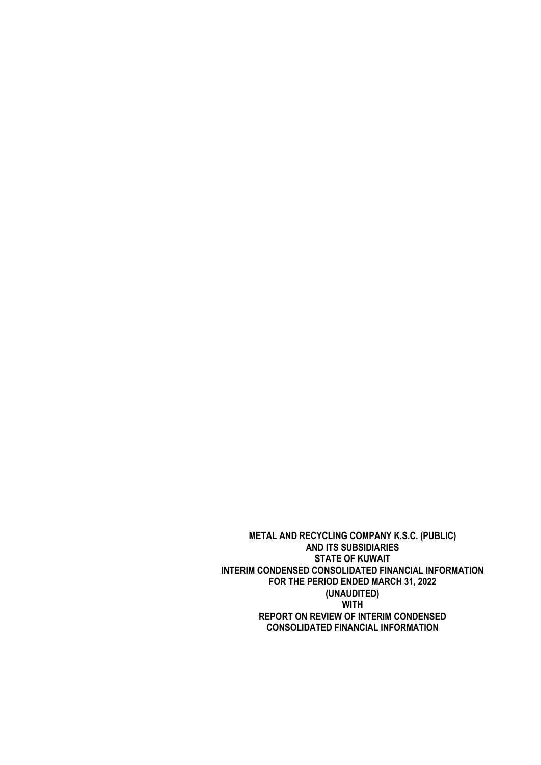**METAL AND RECYCLING COMPANY K.S.C. (PUBLIC) AND ITS SUBSIDIARIES STATE OF KUWAIT INTERIM CONDENSED CONSOLIDATED FINANCIAL INFORMATION FOR THE PERIOD ENDED MARCH 31, 2022 (UNAUDITED) WITH REPORT ON REVIEW OF INTERIM CONDENSED CONSOLIDATED FINANCIAL INFORMATION**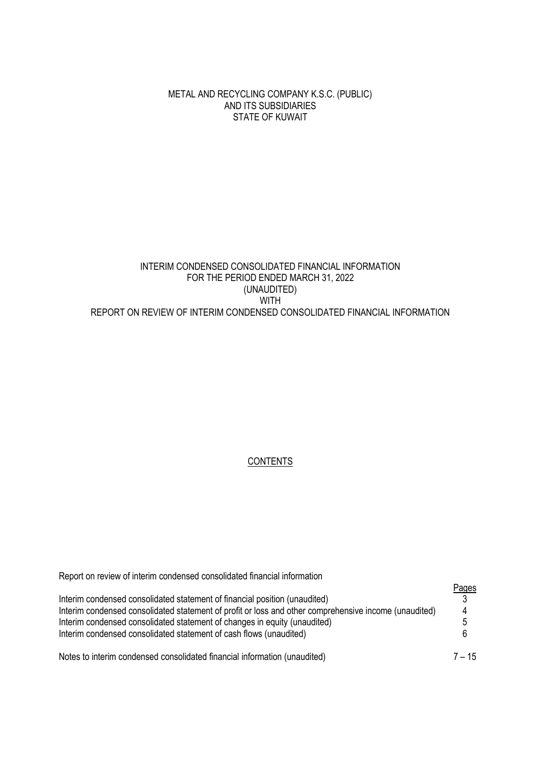METAL AND RECYCLING COMPANY K.S.C. (PUBLIC) AND ITS SUBSIDIARIES STATE OF KUWAIT

# INTERIM CONDENSED CONSOLIDATED FINANCIAL INFORMATION FOR THE PERIOD ENDED MARCH 31, 2022 (UNAUDITED) WITH REPORT ON REVIEW OF INTERIM CONDENSED CONSOLIDATED FINANCIAL INFORMATION

## **CONTENTS**

| Report on review of interim condensed consolidated financial information                              |          |
|-------------------------------------------------------------------------------------------------------|----------|
|                                                                                                       | Pages    |
| Interim condensed consolidated statement of financial position (unaudited)                            |          |
| Interim condensed consolidated statement of profit or loss and other comprehensive income (unaudited) | 4        |
| Interim condensed consolidated statement of changes in equity (unaudited)                             |          |
| Interim condensed consolidated statement of cash flows (unaudited)                                    |          |
| Notes to interim condensed consolidated financial information (unaudited)                             | $7 - 15$ |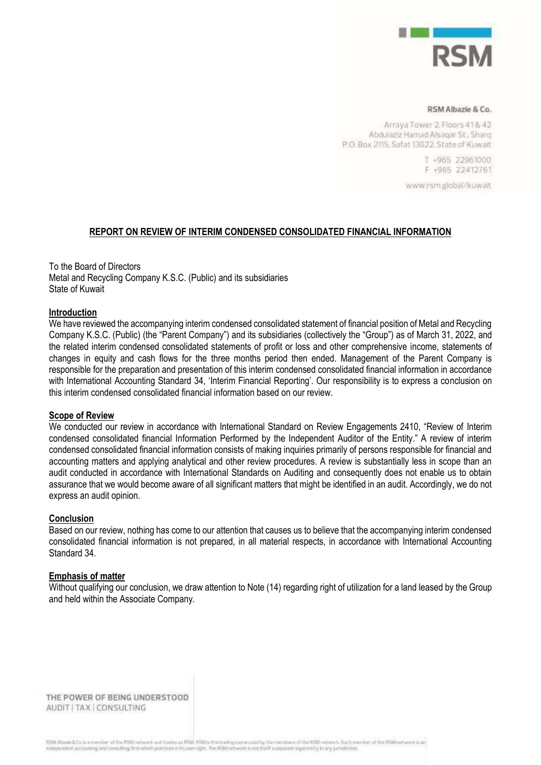

#### RSM Albazie & Co.

Arraya Tower 2, Floors 41& 42 Abdulaziz Hamad Alsagar St., Sharq P.O. Box 2115, Safat 13022. State of Kuwait

> T +965 22961000 F +965 22412761

www.rsm.global/kuwait

#### **REPORT ON REVIEW OF INTERIM CONDENSED CONSOLIDATED FINANCIAL INFORMATION**

To the Board of Directors Metal and Recycling Company K.S.C. (Public) and its subsidiaries State of Kuwait

#### **Introduction**

We have reviewed the accompanying interim condensed consolidated statement of financial position of Metal and Recycling Company K.S.C. (Public) (the "Parent Company") and its subsidiaries (collectively the "Group") as of March 31, 2022, and the related interim condensed consolidated statements of profit or loss and other comprehensive income, statements of changes in equity and cash flows for the three months period then ended. Management of the Parent Company is responsible for the preparation and presentation of this interim condensed consolidated financial information in accordance with International Accounting Standard 34, 'Interim Financial Reporting'. Our responsibility is to express a conclusion on this interim condensed consolidated financial information based on our review.

### **Scope of Review**

We conducted our review in accordance with International Standard on Review Engagements 2410, "Review of Interim condensed consolidated financial Information Performed by the Independent Auditor of the Entity." A review of interim condensed consolidated financial information consists of making inquiries primarily of persons responsible for financial and accounting matters and applying analytical and other review procedures. A review is substantially less in scope than an audit conducted in accordance with International Standards on Auditing and consequently does not enable us to obtain assurance that we would become aware of all significant matters that might be identified in an audit. Accordingly, we do not express an audit opinion.

#### **Conclusion**

Based on our review, nothing has come to our attention that causes us to believe that the accompanying interim condensed consolidated financial information is not prepared, in all material respects, in accordance with International Accounting Standard 34.

#### **Emphasis of matter**

Without qualifying our conclusion, we draw attention to Note (14) regarding right of utilization for a land leased by the Group and held within the Associate Company.

THE POWER OF BEING UNDERSTOOD AUDIT | TAX | CONSULTING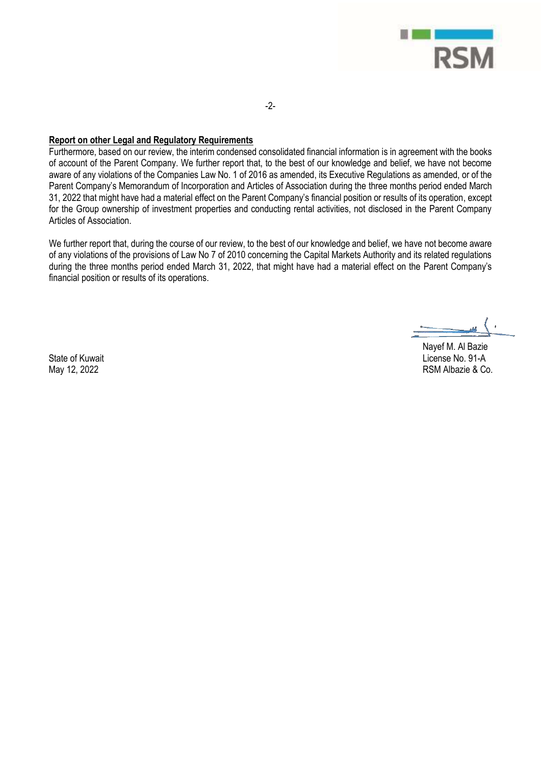

-2-

#### **Report on other Legal and Regulatory Requirements**

Furthermore, based on our review, the interim condensed consolidated financial information is in agreement with the books of account of the Parent Company. We further report that, to the best of our knowledge and belief, we have not become aware of any violations of the Companies Law No. 1 of 2016 as amended, its Executive Regulations as amended, or of the Parent Company's Memorandum of Incorporation and Articles of Association during the three months period ended March 31, 2022 that might have had a material effect on the Parent Company's financial position or results of its operation, except for the Group ownership of investment properties and conducting rental activities, not disclosed in the Parent Company Articles of Association.

We further report that, during the course of our review, to the best of our knowledge and belief, we have not become aware of any violations of the provisions of Law No 7 of 2010 concerning the Capital Markets Authority and its related regulations during the three months period ended March 31, 2022, that might have had a material effect on the Parent Company's financial position or results of its operations.

State of Kuwait May 12, 2022

Nayef M. Al Bazie License No. 91-A RSM Albazie & Co.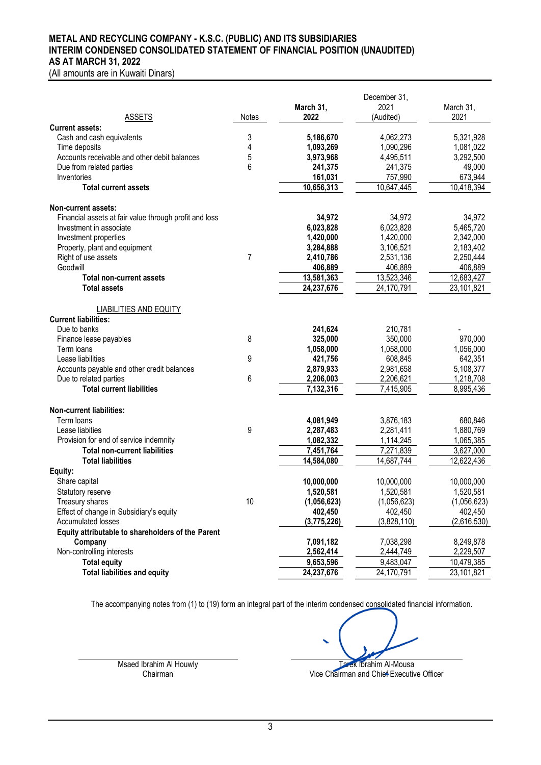### **METAL AND RECYCLING COMPANY - K.S.C. (PUBLIC) AND ITS SUBSIDIARIES INTERIM CONDENSED CONSOLIDATED STATEMENT OF FINANCIAL POSITION (UNAUDITED) AS AT MARCH 31, 2022**

(All amounts are in Kuwaiti Dinars)

|                                                              |       |                   | December 31,      |                   |
|--------------------------------------------------------------|-------|-------------------|-------------------|-------------------|
| <b>ASSETS</b>                                                |       | March 31,<br>2022 | 2021<br>(Audited) | March 31,<br>2021 |
| <b>Current assets:</b>                                       | Notes |                   |                   |                   |
| Cash and cash equivalents                                    | 3     | 5,186,670         | 4,062,273         | 5,321,928         |
| Time deposits                                                | 4     | 1,093,269         | 1,090,296         | 1,081,022         |
| Accounts receivable and other debit balances                 | 5     | 3,973,968         | 4,495,511         | 3,292,500         |
| Due from related parties                                     | 6     | 241,375           | 241,375           | 49,000            |
| Inventories                                                  |       | 161,031           | 757,990           | 673,944           |
| <b>Total current assets</b>                                  |       | 10,656,313        | 10,647,445        | 10,418,394        |
| <b>Non-current assets:</b>                                   |       |                   |                   |                   |
| Financial assets at fair value through profit and loss       |       | 34,972            | 34,972            | 34,972            |
| Investment in associate                                      |       | 6,023,828         | 6,023,828         | 5,465,720         |
| Investment properties                                        |       | 1,420,000         | 1,420,000         | 2,342,000         |
| Property, plant and equipment                                |       | 3,284,888         | 3,106,521         | 2,183,402         |
| Right of use assets                                          | 7     | 2,410,786         | 2,531,136         | 2,250,444         |
| Goodwill                                                     |       | 406,889           | 406,889           | 406,889           |
| <b>Total non-current assets</b>                              |       | 13,581,363        | 13,523,346        | 12,683,427        |
| <b>Total assets</b>                                          |       | 24,237,676        | 24,170,791        | 23,101,821        |
| <b>LIABILITIES AND EQUITY</b>                                |       |                   |                   |                   |
| <b>Current liabilities:</b>                                  |       |                   |                   |                   |
| Due to banks                                                 |       | 241,624           | 210,781           |                   |
| Finance lease payables                                       | 8     | 325,000           | 350,000           | 970,000           |
| Term loans                                                   |       | 1,058,000         | 1,058,000         | 1,056,000         |
| Lease liabilities                                            | 9     | 421,756           | 608,845           | 642,351           |
| Accounts payable and other credit balances                   |       | 2,879,933         | 2,981,658         | 5,108,377         |
| Due to related parties                                       | 6     | 2,206,003         | 2,206,621         | 1,218,708         |
| <b>Total current liabilities</b>                             |       | 7,132,316         | 7,415,905         | 8,995,436         |
| <b>Non-current liabilities:</b>                              |       |                   |                   |                   |
| Term loans                                                   |       | 4,081,949         | 3,876,183         | 680,846           |
| Lease liabities                                              | 9     | 2,287,483         | 2,281,411         | 1,880,769         |
| Provision for end of service indemnity                       |       | 1,082,332         | 1,114,245         | 1,065,385         |
| <b>Total non-current liabilities</b>                         |       | 7,451,764         | 7,271,839         | 3,627,000         |
| <b>Total liabilities</b>                                     |       | 14,584,080        | 14,687,744        | 12,622,436        |
| Equity:                                                      |       |                   |                   |                   |
| Share capital                                                |       | 10,000,000        | 10,000,000        | 10,000,000        |
| Statutory reserve                                            |       | 1,520,581         | 1,520,581         | 1,520,581         |
| Treasury shares                                              | 10    | (1,056,623)       | (1,056,623)       | (1,056,623)       |
| Effect of change in Subsidiary's equity                      |       | 402,450           | 402,450           | 402,450           |
| Accumulated losses                                           |       | (3,775,226)       | (3,828,110)       | (2,616,530)       |
| Equity attributable to shareholders of the Parent<br>Company |       | 7,091,182         | 7,038,298         | 8,249,878         |
| Non-controlling interests                                    |       | 2,562,414         | 2,444,749         | 2,229,507         |
| <b>Total equity</b>                                          |       | 9,653,596         | 9,483,047         | 10,479,385        |
| <b>Total liabilities and equity</b>                          |       | 24,237,676        | 24,170,791        | 23,101,821        |
|                                                              |       |                   |                   |                   |

Msaed Ibrahim Al Houwly<br>Chairman and Chief Executive Chairman and Chief Executive Chairman and Chief Executive Chairman and Chief Executive Chairman and Chief Executive Chairman and Chief Executive Chairman and Chief Execu Vice Chairman and Chief Executive Officer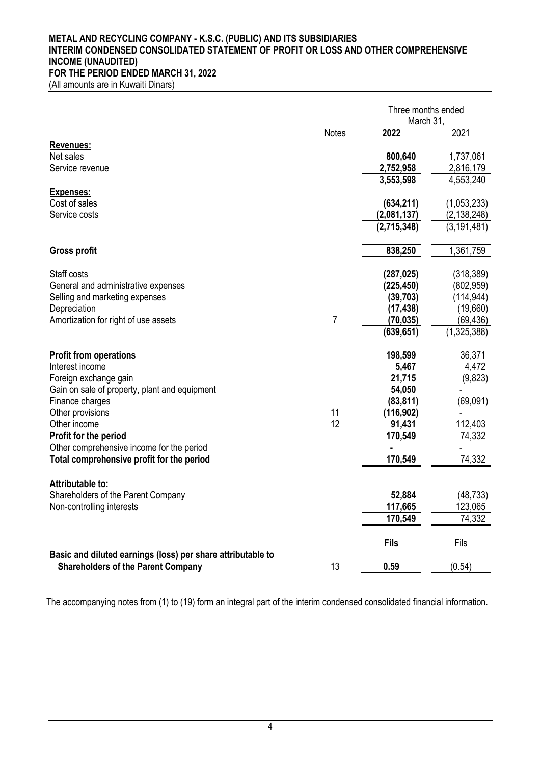## **METAL AND RECYCLING COMPANY - K.S.C. (PUBLIC) AND ITS SUBSIDIARIES INTERIM CONDENSED CONSOLIDATED STATEMENT OF PROFIT OR LOSS AND OTHER COMPREHENSIVE INCOME (UNAUDITED) FOR THE PERIOD ENDED MARCH 31, 2022**

(All amounts are in Kuwaiti Dinars)

|                                                                                                          |                | Three months ended<br>March 31, |               |  |
|----------------------------------------------------------------------------------------------------------|----------------|---------------------------------|---------------|--|
|                                                                                                          | <b>Notes</b>   | 2022                            | 2021          |  |
| Revenues:                                                                                                |                |                                 |               |  |
| Net sales                                                                                                |                | 800,640                         | 1,737,061     |  |
| Service revenue                                                                                          |                | 2,752,958                       | 2,816,179     |  |
|                                                                                                          |                | 3,553,598                       | 4,553,240     |  |
| <b>Expenses:</b>                                                                                         |                |                                 |               |  |
| Cost of sales                                                                                            |                | (634, 211)                      | (1,053,233)   |  |
| Service costs                                                                                            |                | (2,081,137)                     | (2, 138, 248) |  |
|                                                                                                          |                | (2,715,348)                     | (3, 191, 481) |  |
| <b>Gross profit</b>                                                                                      |                | 838,250                         | 1,361,759     |  |
| Staff costs                                                                                              |                | (287, 025)                      | (318, 389)    |  |
| General and administrative expenses                                                                      |                | (225, 450)                      | (802, 959)    |  |
| Selling and marketing expenses                                                                           |                | (39, 703)                       | (114, 944)    |  |
| Depreciation                                                                                             |                | (17, 438)                       | (19,660)      |  |
| Amortization for right of use assets                                                                     | $\overline{7}$ | (70, 035)                       | (69, 436)     |  |
|                                                                                                          |                | (639,651)                       | (1,325,388)   |  |
| <b>Profit from operations</b>                                                                            |                | 198,599                         | 36,371        |  |
| Interest income                                                                                          |                | 5,467                           | 4,472         |  |
| Foreign exchange gain                                                                                    |                | 21,715                          | (9,823)       |  |
| Gain on sale of property, plant and equipment                                                            |                | 54,050                          |               |  |
| Finance charges                                                                                          |                | (83, 811)                       | (69,091)      |  |
| Other provisions                                                                                         | 11             | (116, 902)                      |               |  |
| Other income                                                                                             | 12             | 91,431                          | 112,403       |  |
| Profit for the period                                                                                    |                | 170,549                         | 74,332        |  |
| Other comprehensive income for the period                                                                |                |                                 |               |  |
| Total comprehensive profit for the period                                                                |                | 170,549                         | 74,332        |  |
| Attributable to:                                                                                         |                |                                 |               |  |
| Shareholders of the Parent Company                                                                       |                | 52,884                          | (48, 733)     |  |
| Non-controlling interests                                                                                |                | 117,665                         | 123,065       |  |
|                                                                                                          |                | 170,549                         | 74,332        |  |
|                                                                                                          |                | <b>Fils</b>                     | Fils          |  |
| Basic and diluted earnings (loss) per share attributable to<br><b>Shareholders of the Parent Company</b> | 13             | 0.59                            | (0.54)        |  |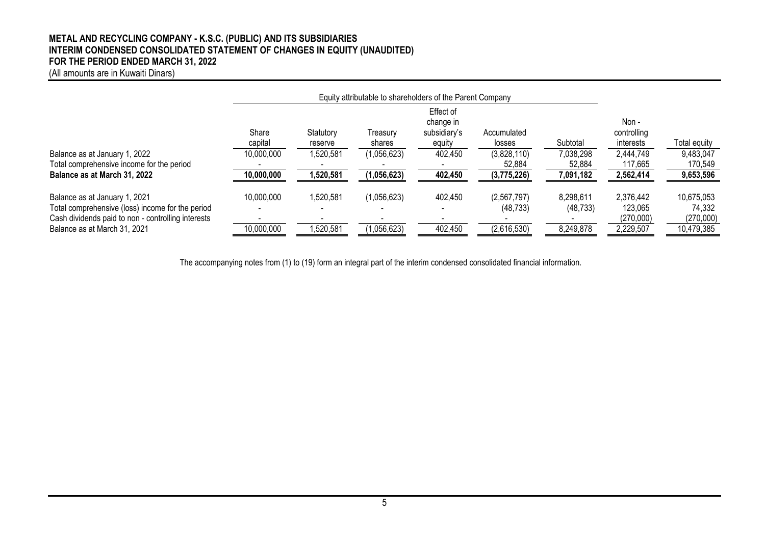## **METAL AND RECYCLING COMPANY - K.S.C. (PUBLIC) AND ITS SUBSIDIARIES INTERIM CONDENSED CONSOLIDATED STATEMENT OF CHANGES IN EQUITY (UNAUDITED) FOR THE PERIOD ENDED MARCH 31, 2022**

(All amounts are in Kuwaiti Dinars)

|                                                    | Equity attributable to shareholders of the Parent Company |           |             |                        |             |           |             |              |
|----------------------------------------------------|-----------------------------------------------------------|-----------|-------------|------------------------|-------------|-----------|-------------|--------------|
|                                                    |                                                           |           |             | Effect of<br>change in |             |           | Non -       |              |
|                                                    | Share                                                     | Statutory | Treasury    | subsidiary's           | Accumulated |           | controlling |              |
|                                                    | capital                                                   | reserve   | shares      | equity                 | losses      | Subtotal  | interests   | Total equity |
| Balance as at January 1, 2022                      | 10,000,000                                                | ,520,581  | (1,056,623) | 402,450                | (3,828,110) | 7,038,298 | 2,444,749   | 9,483,047    |
| Total comprehensive income for the period          |                                                           |           |             |                        | 52,884      | 52,884    | 117,665     | 170,549      |
| Balance as at March 31, 2022                       | 10,000,000                                                | 1,520,581 | (1,056,623) | 402,450                | (3,775,226) | 7,091,182 | 2,562,414   | 9,653,596    |
| Balance as at January 1, 2021                      | 10,000,000                                                | 1,520,581 | (1,056,623) | 402,450                | (2,567,797) | 8,298,611 | 2,376,442   | 10,675,053   |
| Total comprehensive (loss) income for the period   |                                                           |           |             |                        | (48, 733)   | (48, 733) | 123,065     | 74,332       |
| Cash dividends paid to non - controlling interests |                                                           |           |             |                        |             |           | (270,000)   | (270,000)    |
| Balance as at March 31, 2021                       | 10,000,000                                                | ,520,581  | (1,056,623) | 402,450                | (2,616,530) | 8,249,878 | 2,229,507   | 10,479,385   |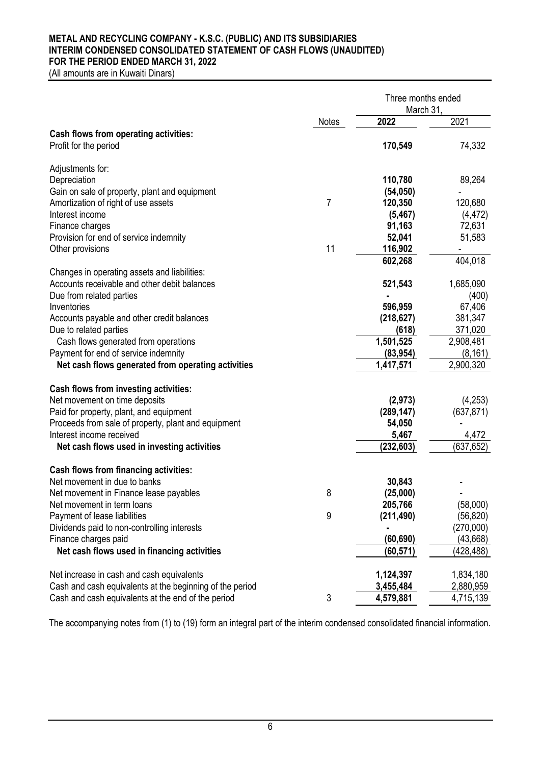## **METAL AND RECYCLING COMPANY - K.S.C. (PUBLIC) AND ITS SUBSIDIARIES INTERIM CONDENSED CONSOLIDATED STATEMENT OF CASH FLOWS (UNAUDITED) FOR THE PERIOD ENDED MARCH 31, 2022**

(All amounts are in Kuwaiti Dinars)

|                                                          |              | Three months ended<br>March 31, |            |  |
|----------------------------------------------------------|--------------|---------------------------------|------------|--|
|                                                          | <b>Notes</b> | 2022                            | 2021       |  |
| <b>Cash flows from operating activities:</b>             |              |                                 |            |  |
| Profit for the period                                    |              | 170,549                         | 74,332     |  |
| Adjustments for:                                         |              |                                 |            |  |
| Depreciation                                             |              | 110,780                         | 89,264     |  |
| Gain on sale of property, plant and equipment            |              | (54, 050)                       |            |  |
| Amortization of right of use assets                      | 7            | 120,350                         | 120,680    |  |
| Interest income                                          |              | (5, 467)                        | (4, 472)   |  |
| Finance charges                                          |              | 91,163                          | 72,631     |  |
| Provision for end of service indemnity                   |              | 52,041                          | 51,583     |  |
| Other provisions                                         | 11           | 116,902                         |            |  |
|                                                          |              | 602,268                         | 404,018    |  |
| Changes in operating assets and liabilities:             |              |                                 |            |  |
| Accounts receivable and other debit balances             |              | 521,543                         | 1,685,090  |  |
| Due from related parties                                 |              |                                 | (400)      |  |
| Inventories                                              |              | 596,959                         | 67,406     |  |
| Accounts payable and other credit balances               |              | (218, 627)                      | 381,347    |  |
| Due to related parties                                   |              | (618)                           | 371,020    |  |
| Cash flows generated from operations                     |              | 1,501,525                       | 2,908,481  |  |
| Payment for end of service indemnity                     |              | (83, 954)                       | (8, 161)   |  |
| Net cash flows generated from operating activities       |              | 1,417,571                       | 2,900,320  |  |
| <b>Cash flows from investing activities:</b>             |              |                                 |            |  |
| Net movement on time deposits                            |              | (2, 973)                        | (4,253)    |  |
| Paid for property, plant, and equipment                  |              | (289, 147)                      | (637, 871) |  |
| Proceeds from sale of property, plant and equipment      |              | 54,050                          |            |  |
| Interest income received                                 |              | 5,467                           | 4,472      |  |
| Net cash flows used in investing activities              |              | (232, 603)                      | (637, 652) |  |
| <b>Cash flows from financing activities:</b>             |              |                                 |            |  |
| Net movement in due to banks                             |              | 30,843                          |            |  |
| Net movement in Finance lease payables                   | 8            | (25,000)                        |            |  |
| Net movement in term loans                               |              | 205,766                         | (58,000)   |  |
| Payment of lease liabilities                             | 9            | (211, 490)                      | (56, 820)  |  |
| Dividends paid to non-controlling interests              |              |                                 | (270,000)  |  |
| Finance charges paid                                     |              | (60, 690)                       | (43, 668)  |  |
| Net cash flows used in financing activities              |              | (60,571)                        | (428,488)  |  |
| Net increase in cash and cash equivalents                |              | 1,124,397                       | 1,834,180  |  |
| Cash and cash equivalents at the beginning of the period |              | 3,455,484                       | 2,880,959  |  |
| Cash and cash equivalents at the end of the period       | 3            | 4,579,881                       | 4,715,139  |  |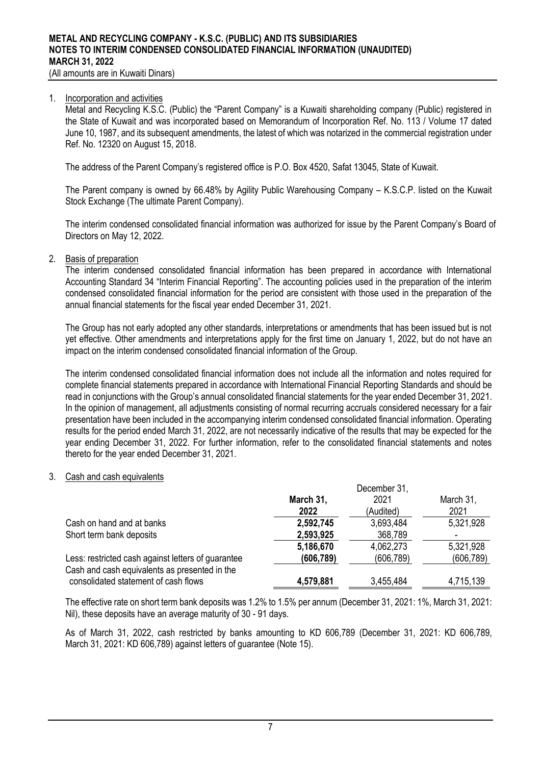(All amounts are in Kuwaiti Dinars)

#### 1. Incorporation and activities

Metal and Recycling K.S.C. (Public) the "Parent Company" is a Kuwaiti shareholding company (Public) registered in the State of Kuwait and was incorporated based on Memorandum of Incorporation Ref. No. 113 / Volume 17 dated June 10, 1987, and its subsequent amendments, the latest of which was notarized in the commercial registration under Ref. No. 12320 on August 15, 2018.

The address of the Parent Company's registered office is P.O. Box 4520, Safat 13045. State of Kuwait.

The Parent company is owned by 66.48% by Agility Public Warehousing Company – K.S.C.P. listed on the Kuwait Stock Exchange (The ultimate Parent Company).

The interim condensed consolidated financial information was authorized for issue by the Parent Company's Board of Directors on May 12, 2022.

## 2. Basis of preparation

The interim condensed consolidated financial information has been prepared in accordance with International Accounting Standard 34 "Interim Financial Reporting". The accounting policies used in the preparation of the interim condensed consolidated financial information for the period are consistent with those used in the preparation of the annual financial statements for the fiscal year ended December 31, 2021.

The Group has not early adopted any other standards, interpretations or amendments that has been issued but is not yet effective. Other amendments and interpretations apply for the first time on January 1, 2022, but do not have an impact on the interim condensed consolidated financial information of the Group.

The interim condensed consolidated financial information does not include all the information and notes required for complete financial statements prepared in accordance with International Financial Reporting Standards and should be read in conjunctions with the Group's annual consolidated financial statements for the year ended December 31, 2021. In the opinion of management, all adjustments consisting of normal recurring accruals considered necessary for a fair presentation have been included in the accompanying interim condensed consolidated financial information. Operating results for the period ended March 31, 2022, are not necessarily indicative of the results that may be expected for the year ending December 31, 2022. For further information, refer to the consolidated financial statements and notes thereto for the year ended December 31, 2021.

#### 3. Cash and cash equivalents

|                                                    | December 31,      |            |                          |  |
|----------------------------------------------------|-------------------|------------|--------------------------|--|
|                                                    | 2021<br>March 31, |            | March 31,                |  |
|                                                    | 2022              | (Audited)  | 2021                     |  |
| Cash on hand and at banks                          | 2,592,745         | 3,693,484  | 5,321,928                |  |
| Short term bank deposits                           | 2,593,925         | 368,789    | $\overline{\phantom{0}}$ |  |
|                                                    | 5,186,670         | 4,062,273  | 5,321,928                |  |
| Less: restricted cash against letters of guarantee | (606, 789)        | (606, 789) | (606, 789)               |  |
| Cash and cash equivalents as presented in the      |                   |            |                          |  |
| consolidated statement of cash flows               | 4,579,881         | 3,455,484  | 4,715,139                |  |

The effective rate on short term bank deposits was 1.2% to 1.5% per annum (December 31, 2021: 1%, March 31, 2021: Nil), these deposits have an average maturity of 30 - 91 days.

As of March 31, 2022, cash restricted by banks amounting to KD 606,789 (December 31, 2021: KD 606,789, March 31, 2021: KD 606,789) against letters of guarantee (Note 15).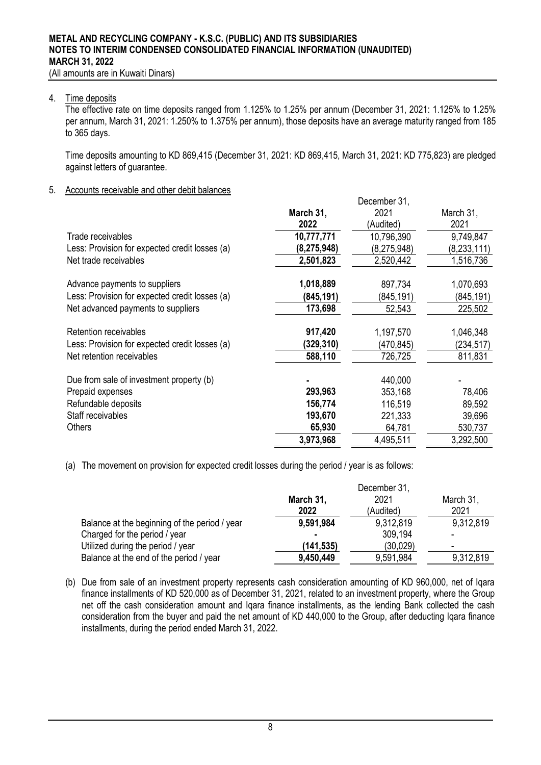(All amounts are in Kuwaiti Dinars)

#### 4. Time deposits

The effective rate on time deposits ranged from 1.125% to 1.25% per annum (December 31, 2021: 1.125% to 1.25% per annum, March 31, 2021: 1.250% to 1.375% per annum), those deposits have an average maturity ranged from 185 to 365 days.

Time deposits amounting to KD 869,415 (December 31, 2021: KD 869,415, March 31, 2021: KD 775,823) are pledged against letters of guarantee.

December 24

# 5. Accounts receivable and other debit balances

| March 31,     | 2021               | March 31,                          |
|---------------|--------------------|------------------------------------|
|               |                    | 2021                               |
|               | 10,796,390         | 9,749,847                          |
| (8, 275, 948) | (8,275,948)        | (8, 233, 111)                      |
| 2,501,823     | 2,520,442          | 1,516,736                          |
| 1,018,889     | 897,734            | 1,070,693                          |
| (845,191)     | (845,191)          | (845,191)                          |
| 173,698       | 52,543             | 225,502                            |
| 917,420       | 1,197,570          | 1,046,348                          |
| (329,310)     | (470, 845)         | (234,517)                          |
| 588,110       | 726,725            | 811,831                            |
|               | 440,000            |                                    |
| 293,963       | 353,168            | 78,406                             |
| 156,774       | 116,519            | 89,592                             |
| 193,670       | 221,333            | 39,696                             |
| 65,930        | 64,781             | 530,737                            |
| 3,973,968     | 4,495,511          | 3,292,500                          |
|               | 2022<br>10,777,771 | <b>DUUUIIIDUI UT.</b><br>(Audited) |

(a) The movement on provision for expected credit losses during the period / year is as follows:

|                                               | December 31, |           |           |  |
|-----------------------------------------------|--------------|-----------|-----------|--|
|                                               | March 31,    | 2021      | March 31, |  |
|                                               | 2022         | (Audited) | 2021      |  |
| Balance at the beginning of the period / year | 9,591,984    | 9,312,819 | 9,312,819 |  |
| Charged for the period / year                 | ٠            | 309,194   |           |  |
| Utilized during the period / year             | (141,535)    | (30,029)  |           |  |
| Balance at the end of the period / year       | 9,450,449    | 9,591,984 | 9,312,819 |  |

(b) Due from sale of an investment property represents cash consideration amounting of KD 960,000, net of Iqara finance installments of KD 520,000 as of December 31, 2021, related to an investment property, where the Group net off the cash consideration amount and lgara finance installments, as the lending Bank collected the cash consideration from the buyer and paid the net amount of KD 440,000 to the Group, after deducting Iqara finance installments, during the period ended March 31, 2022.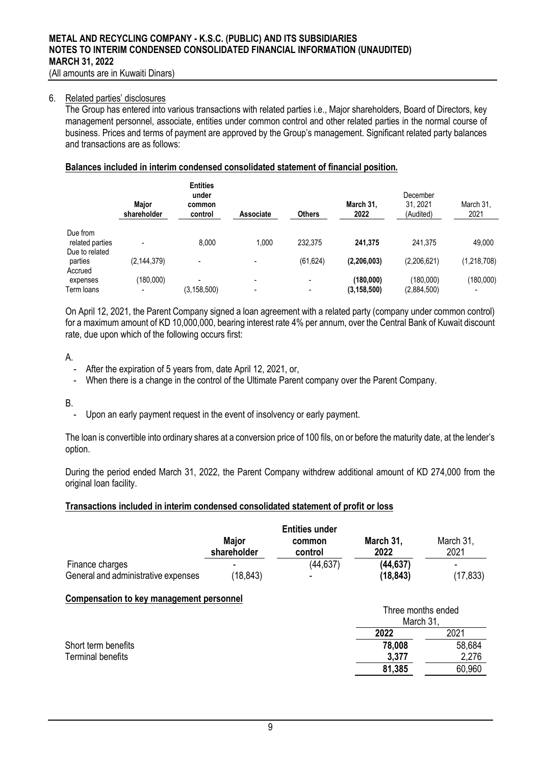#### 6. Related parties' disclosures

The Group has entered into various transactions with related parties i.e., Major shareholders, Board of Directors, key management personnel, associate, entities under common control and other related parties in the normal course of business. Prices and terms of payment are approved by the Group's management. Significant related party balances and transactions are as follows:

## **Balances included in interim condensed consolidated statement of financial position.**

|                                      | <b>Maior</b><br>shareholder | <b>Entities</b><br>under<br>common<br>control | <b>Associate</b>              | <b>Others</b> | March 31.<br>2022          | December<br>31.2021<br>(Audited) | March 31,<br>2021 |
|--------------------------------------|-----------------------------|-----------------------------------------------|-------------------------------|---------------|----------------------------|----------------------------------|-------------------|
| Due from<br>related parties          |                             | 8.000                                         | 1.000                         | 232.375       | 241.375                    | 241,375                          | 49,000            |
| Due to related<br>parties<br>Accrued | (2, 144, 379)               |                                               | -                             | (61, 624)     | (2,206,003)                | (2,206,621)                      | (1,218,708)       |
| expenses<br>Term loans               | (180,000)<br>-              | (3, 158, 500)                                 | $\overline{\phantom{a}}$<br>- | ۰<br>-        | (180,000)<br>(3, 158, 500) | (180.000)<br>(2,884,500)         | (180,000)         |

On April 12, 2021, the Parent Company signed a loan agreement with a related party (company under common control) for a maximum amount of KD 10,000,000, bearing interest rate 4% per annum, over the Central Bank of Kuwait discount rate, due upon which of the following occurs first:

A.

- After the expiration of 5 years from, date April 12, 2021, or,
- When there is a change in the control of the Ultimate Parent company over the Parent Company.

B.

Upon an early payment request in the event of insolvency or early payment.

The loan is convertible into ordinary shares at a conversion price of 100 fils, on or before the maturity date, at the lender's option.

During the period ended March 31, 2022, the Parent Company withdrew additional amount of KD 274,000 from the original loan facility.

### **Transactions included in interim condensed consolidated statement of profit or loss**

|                                                 | <b>Major</b><br>shareholder | <b>Entities under</b><br>common<br>control | March 31,<br>2022               | March 31,<br>2021 |
|-------------------------------------------------|-----------------------------|--------------------------------------------|---------------------------------|-------------------|
| Finance charges                                 |                             | (44, 637)                                  | (44, 637)                       |                   |
| General and administrative expenses             | (18, 843)                   |                                            | (18, 843)                       | (17, 833)         |
| <b>Compensation to key management personnel</b> |                             |                                            |                                 |                   |
|                                                 |                             |                                            | Three months ended<br>March 31, |                   |
|                                                 |                             |                                            | 2022                            | 2021              |
| Short term benefits                             |                             |                                            | 78,008                          | 58,684            |
| <b>Terminal benefits</b>                        |                             |                                            | 3,377                           | 2,276             |
|                                                 |                             |                                            | 81,385                          | 60,960            |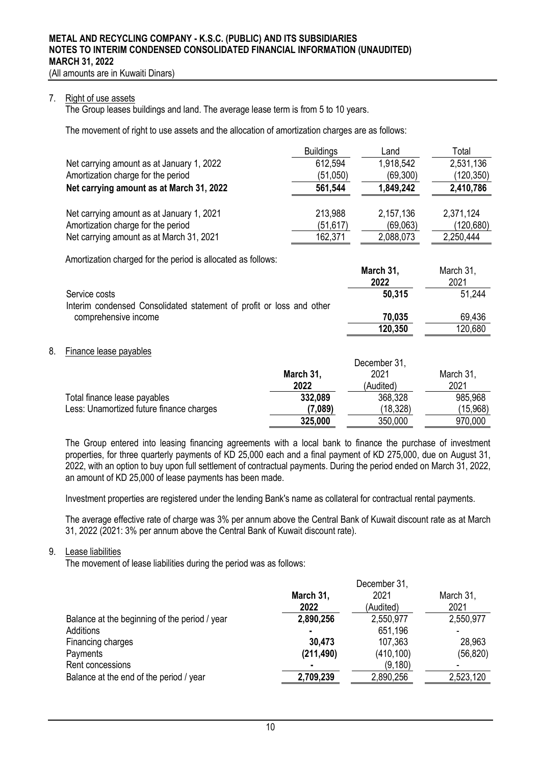(All amounts are in Kuwaiti Dinars)

#### 7. Right of use assets

The Group leases buildings and land. The average lease term is from 5 to 10 years.

The movement of right to use assets and the allocation of amortization charges are as follows:

|                                           | <b>Buildings</b> | Land      | Total      |
|-------------------------------------------|------------------|-----------|------------|
| Net carrying amount as at January 1, 2022 | 612,594          | 1,918,542 | 2,531,136  |
| Amortization charge for the period        | (51,050)         | (69, 300) | (120, 350) |
| Net carrying amount as at March 31, 2022  | 561,544          | 1,849,242 | 2,410,786  |
| Net carrying amount as at January 1, 2021 | 213,988          | 2,157,136 | 2,371,124  |
| Amortization charge for the period        | (51, 617)        | (69,063)  | (120,680)  |
| Net carrying amount as at March 31, 2021  | 162,371          | 2,088,073 | 2,250,444  |

Amortization charged for the period is allocated as follows:

|                                                                      | <b>IVIGIUII JI.</b><br>2022 | $N$ $N$ $N$ $N$ $N$<br>2021 |
|----------------------------------------------------------------------|-----------------------------|-----------------------------|
| Service costs                                                        | 50,315                      | 51.244                      |
| Interim condensed Consolidated statement of profit or loss and other |                             |                             |
| comprehensive income                                                 | 70,035                      | 69.436                      |
|                                                                      | 120,350                     | 120,680                     |

**March 31,** 

March 21

## 8. Finance lease payables

|                                          |           | December 31, |           |
|------------------------------------------|-----------|--------------|-----------|
|                                          | March 31, | 2021         | March 31, |
|                                          | 2022      | (Audited)    | 2021      |
| Total finance lease payables             | 332,089   | 368,328      | 985,968   |
| Less: Unamortized future finance charges | (7,089)   | (18,328)     | (15,968)  |
|                                          | 325,000   | 350,000      | 970,000   |

The Group entered into leasing financing agreements with a local bank to finance the purchase of investment properties, for three quarterly payments of KD 25,000 each and a final payment of KD 275,000, due on August 31, 2022, with an option to buy upon full settlement of contractual payments. During the period ended on March 31, 2022, an amount of KD 25,000 of lease payments has been made.

Investment properties are registered under the lending Bank's name as collateral for contractual rental payments.

The average effective rate of charge was 3% per annum above the Central Bank of Kuwait discount rate as at March 31, 2022 (2021: 3% per annum above the Central Bank of Kuwait discount rate).

#### 9. Lease liabilities

The movement of lease liabilities during the period was as follows:

|                                               | December 31, |            |           |  |
|-----------------------------------------------|--------------|------------|-----------|--|
|                                               | March 31,    | 2021       | March 31, |  |
|                                               | 2022         | (Audited)  | 2021      |  |
| Balance at the beginning of the period / year | 2,890,256    | 2,550,977  | 2,550,977 |  |
| Additions                                     |              | 651,196    |           |  |
| Financing charges                             | 30,473       | 107,363    | 28,963    |  |
| Payments                                      | (211, 490)   | (410, 100) | (56, 820) |  |
| Rent concessions                              |              | (9,180)    |           |  |
| Balance at the end of the period / year       | 2,709,239    | 2,890,256  | 2,523,120 |  |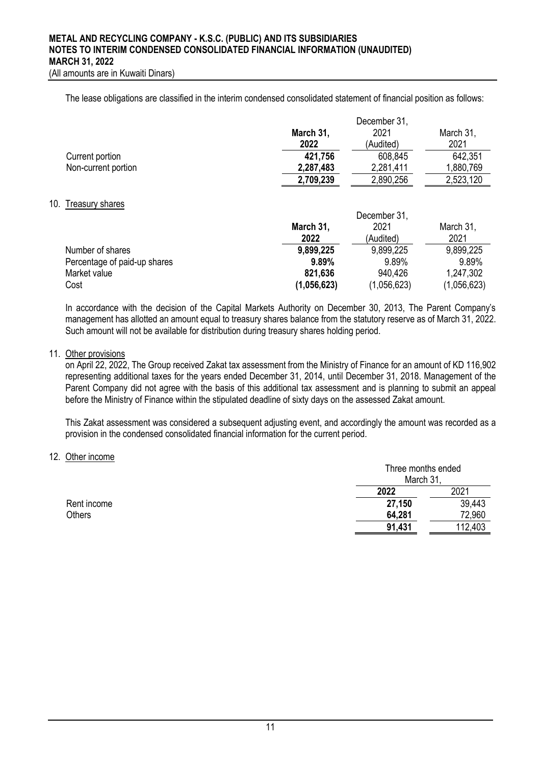(All amounts are in Kuwaiti Dinars)

The lease obligations are classified in the interim condensed consolidated statement of financial position as follows:

|                     |           | December 31,      |           |  |
|---------------------|-----------|-------------------|-----------|--|
|                     | March 31, | 2021<br>March 31, |           |  |
|                     | 2022      | (Audited)         | 2021      |  |
| Current portion     | 421,756   | 608,845           | 642,351   |  |
| Non-current portion | 2,287,483 | 2,281,411         | 1,880,769 |  |
|                     | 2,709,239 | 2,890,256         | 2,523,120 |  |

#### 10. Treasury shares

|                              | December 31, |             |             |  |
|------------------------------|--------------|-------------|-------------|--|
|                              | March 31,    | 2021        |             |  |
|                              | 2022         | (Audited)   | 2021        |  |
| Number of shares             | 9,899,225    | 9,899,225   | 9,899,225   |  |
| Percentage of paid-up shares | 9.89%        | 9.89%       | 9.89%       |  |
| Market value                 | 821,636      | 940.426     | 1,247,302   |  |
| Cost                         | (1,056,623)  | (1,056,623) | (1,056,623) |  |

In accordance with the decision of the Capital Markets Authority on December 30, 2013, The Parent Company's management has allotted an amount equal to treasury shares balance from the statutory reserve as of March 31, 2022. Such amount will not be available for distribution during treasury shares holding period.

## 11. Other provisions

on April 22, 2022, The Group received Zakat tax assessment from the Ministry of Finance for an amount of KD 116,902 representing additional taxes for the years ended December 31, 2014, until December 31, 2018. Management of the Parent Company did not agree with the basis of this additional tax assessment and is planning to submit an appeal before the Ministry of Finance within the stipulated deadline of sixty days on the assessed Zakat amount.

This Zakat assessment was considered a subsequent adjusting event, and accordingly the amount was recorded as a provision in the condensed consolidated financial information for the current period.

#### 12. Other income

|             | Three months ended<br>March 31 |         |
|-------------|--------------------------------|---------|
|             | 2022                           | 2021    |
| Rent income | 27,150                         | 39,443  |
| Others      | 64,281                         | 72,960  |
|             | 91,431                         | 112,403 |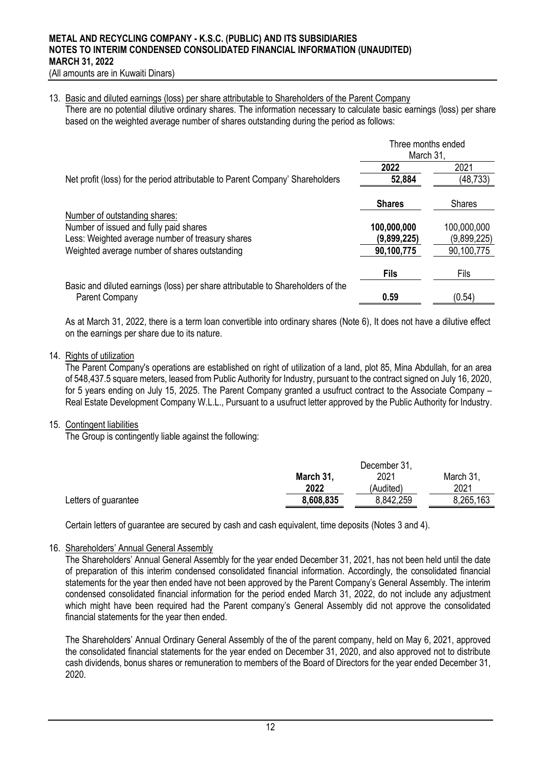#### 13. Basic and diluted earnings (loss) per share attributable to Shareholders of the Parent Company

There are no potential dilutive ordinary shares. The information necessary to calculate basic earnings (loss) per share based on the weighted average number of shares outstanding during the period as follows:

|                                                                                                   | Three months ended<br>March 31, |               |
|---------------------------------------------------------------------------------------------------|---------------------------------|---------------|
|                                                                                                   | 2022                            | 2021          |
| Net profit (loss) for the period attributable to Parent Company' Shareholders                     | 52,884                          | (48, 733)     |
|                                                                                                   | <b>Shares</b>                   | <b>Shares</b> |
| Number of outstanding shares:<br>Number of issued and fully paid shares                           | 100,000,000                     | 100,000,000   |
| Less: Weighted average number of treasury shares                                                  | (9,899,225)                     | (9,899,225)   |
| Weighted average number of shares outstanding                                                     | 90,100,775                      | 90,100,775    |
|                                                                                                   | <b>Fils</b>                     | Fils          |
| Basic and diluted earnings (loss) per share attributable to Shareholders of the<br>Parent Company | 0.59                            | (0.54)        |

As at March 31, 2022, there is a term loan convertible into ordinary shares (Note 6), It does not have a dilutive effect on the earnings per share due to its nature.

### 14. Rights of utilization

The Parent Company's operations are established on right of utilization of a land, plot 85, Mina Abdullah, for an area of 548,437.5 square meters, leased from Public Authority for Industry, pursuant to the contract signed on July 16, 2020, for 5 years ending on July 15, 2025. The Parent Company granted a usufruct contract to the Associate Company – Real Estate Development Company W.L.L., Pursuant to a usufruct letter approved by the Public Authority for Industry.

#### 15. Contingent liabilities

The Group is contingently liable against the following:

|                      |           | December 31,      |           |  |  |
|----------------------|-----------|-------------------|-----------|--|--|
|                      | March 31, | 2021<br>March 31, |           |  |  |
|                      | 2022      | (Audited)         | 2021      |  |  |
| Letters of guarantee | 8,608,835 | 8,842,259         | 8,265,163 |  |  |

Certain letters of guarantee are secured by cash and cash equivalent, time deposits (Notes 3 and 4).

### 16. Shareholders' Annual General Assembly

The Shareholders' Annual General Assembly for the year ended December 31, 2021, has not been held until the date of preparation of this interim condensed consolidated financial information. Accordingly, the consolidated financial statements for the year then ended have not been approved by the Parent Company's General Assembly. The interim condensed consolidated financial information for the period ended March 31, 2022, do not include any adjustment which might have been required had the Parent company's General Assembly did not approve the consolidated financial statements for the year then ended.

The Shareholders' Annual Ordinary General Assembly of the of the parent company, held on May 6, 2021, approved the consolidated financial statements for the year ended on December 31, 2020, and also approved not to distribute cash dividends, bonus shares or remuneration to members of the Board of Directors for the year ended December 31, 2020.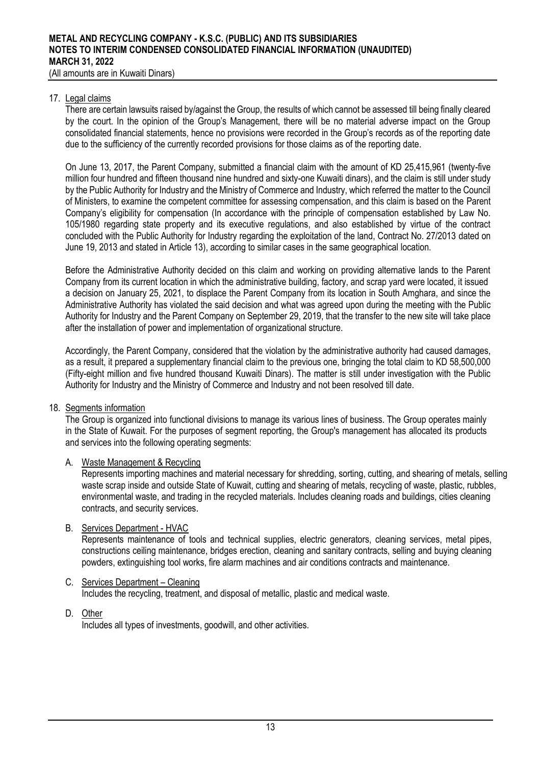### 17. Legal claims

There are certain lawsuits raised by/against the Group, the results of which cannot be assessed till being finally cleared by the court. In the opinion of the Group's Management, there will be no material adverse impact on the Group consolidated financial statements, hence no provisions were recorded in the Group's records as of the reporting date due to the sufficiency of the currently recorded provisions for those claims as of the reporting date.

On June 13, 2017, the Parent Company, submitted a financial claim with the amount of KD 25,415,961 (twenty-five million four hundred and fifteen thousand nine hundred and sixty-one Kuwaiti dinars), and the claim is still under study by the Public Authority for Industry and the Ministry of Commerce and Industry, which referred the matter to the Council of Ministers, to examine the competent committee for assessing compensation, and this claim is based on the Parent Company's eligibility for compensation (In accordance with the principle of compensation established by Law No. 105/1980 regarding state property and its executive regulations, and also established by virtue of the contract concluded with the Public Authority for Industry regarding the exploitation of the land, Contract No. 27/2013 dated on June 19, 2013 and stated in Article 13), according to similar cases in the same geographical location.

Before the Administrative Authority decided on this claim and working on providing alternative lands to the Parent Company from its current location in which the administrative building, factory, and scrap yard were located, it issued a decision on January 25, 2021, to displace the Parent Company from its location in South Amghara, and since the Administrative Authority has violated the said decision and what was agreed upon during the meeting with the Public Authority for Industry and the Parent Company on September 29, 2019, that the transfer to the new site will take place after the installation of power and implementation of organizational structure.

Accordingly, the Parent Company, considered that the violation by the administrative authority had caused damages, as a result, it prepared a supplementary financial claim to the previous one, bringing the total claim to KD 58,500,000 (Fifty-eight million and five hundred thousand Kuwaiti Dinars). The matter is still under investigation with the Public Authority for Industry and the Ministry of Commerce and Industry and not been resolved till date.

## 18. Segments information

The Group is organized into functional divisions to manage its various lines of business. The Group operates mainly in the State of Kuwait. For the purposes of segment reporting, the Group's management has allocated its products and services into the following operating segments:

# A. Waste Management & Recycling

Represents importing machines and material necessary for shredding, sorting, cutting, and shearing of metals, selling waste scrap inside and outside State of Kuwait, cutting and shearing of metals, recycling of waste, plastic, rubbles, environmental waste, and trading in the recycled materials. Includes cleaning roads and buildings, cities cleaning contracts, and security services .

#### B. Services Department - HVAC

Represents maintenance of tools and technical supplies, electric generators, cleaning services, metal pipes, constructions ceiling maintenance, bridges erection, cleaning and sanitary contracts, selling and buying cleaning powders, extinguishing tool works, fire alarm machines and air conditions contracts and maintenance.

## C. Services Department – Cleaning

Includes the recycling, treatment, and disposal of metallic, plastic and medical waste.

D. Other Includes all types of investments, goodwill, and other activities.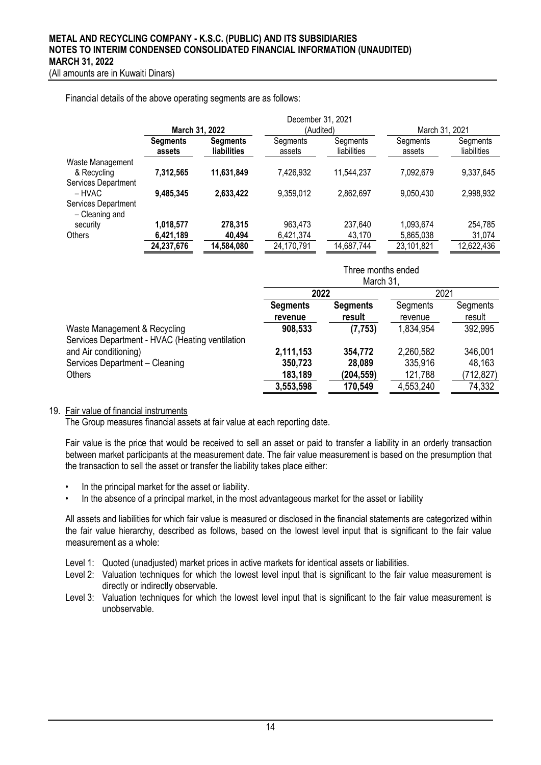| Financial details of the above operating segments are as follows: |  |
|-------------------------------------------------------------------|--|
|-------------------------------------------------------------------|--|

|                                       |                           |                                       | December 31, 2021  |                         |                    |                         |
|---------------------------------------|---------------------------|---------------------------------------|--------------------|-------------------------|--------------------|-------------------------|
|                                       | March 31, 2022            |                                       | (Audited)          |                         | March 31, 2021     |                         |
|                                       | <b>Segments</b><br>assets | <b>Segments</b><br><b>liabilities</b> | Segments<br>assets | Segments<br>liabilities | Segments<br>assets | Segments<br>liabilities |
| Waste Management                      |                           |                                       |                    |                         |                    |                         |
| & Recycling                           | 7,312,565                 | 11,631,849                            | 7,426,932          | 11,544,237              | 7,092,679          | 9,337,645               |
| Services Department                   |                           |                                       |                    |                         |                    |                         |
| – HVAC                                | 9,485,345                 | 2,633,422                             | 9,359,012          | 2,862,697               | 9,050,430          | 2,998,932               |
| Services Department<br>- Cleaning and |                           |                                       |                    |                         |                    |                         |
| security                              | 1,018,577                 | 278,315                               | 963,473            | 237,640                 | 1,093,674          | 254,785                 |
| Others                                | 6,421,189                 | 40,494                                | 6,421,374          | 43.170                  | 5,865,038          | 31,074                  |
|                                       | 24,237,676                | 14,584,080                            | 24,170,791         | 14,687,744              | 23,101,821         | 12,622,436              |

|                                                                                 | Three months ended<br>March 31, |                           |                     |                    |  |
|---------------------------------------------------------------------------------|---------------------------------|---------------------------|---------------------|--------------------|--|
|                                                                                 |                                 |                           |                     |                    |  |
|                                                                                 | 2022                            |                           |                     | 2021               |  |
|                                                                                 | <b>Segments</b><br>revenue      | <b>Segments</b><br>result | Segments<br>revenue | Segments<br>result |  |
| Waste Management & Recycling<br>Services Department - HVAC (Heating ventilation | 908,533                         | (7, 753)                  | 1,834,954           | 392,995            |  |
| and Air conditioning)                                                           | 2,111,153                       | 354,772                   | 2,260,582           | 346,001            |  |
| Services Department - Cleaning                                                  | 350,723                         | 28,089                    | 335,916             | 48,163             |  |
| <b>Others</b>                                                                   | 183,189                         | (204,559)                 | 121,788             | (712, 827)         |  |
|                                                                                 | 3,553,598                       | 170,549                   | 4,553,240           | 74,332             |  |

## 19. Fair value of financial instruments

The Group measures financial assets at fair value at each reporting date.

Fair value is the price that would be received to sell an asset or paid to transfer a liability in an orderly transaction between market participants at the measurement date. The fair value measurement is based on the presumption that the transaction to sell the asset or transfer the liability takes place either:

- In the principal market for the asset or liability.
- In the absence of a principal market, in the most advantageous market for the asset or liability

All assets and liabilities for which fair value is measured or disclosed in the financial statements are categorized within the fair value hierarchy, described as follows, based on the lowest level input that is significant to the fair value measurement as a whole:

Level 1: Quoted (unadjusted) market prices in active markets for identical assets or liabilities.

- Level 2: Valuation techniques for which the lowest level input that is significant to the fair value measurement is directly or indirectly observable.
- Level 3: Valuation techniques for which the lowest level input that is significant to the fair value measurement is unobservable.